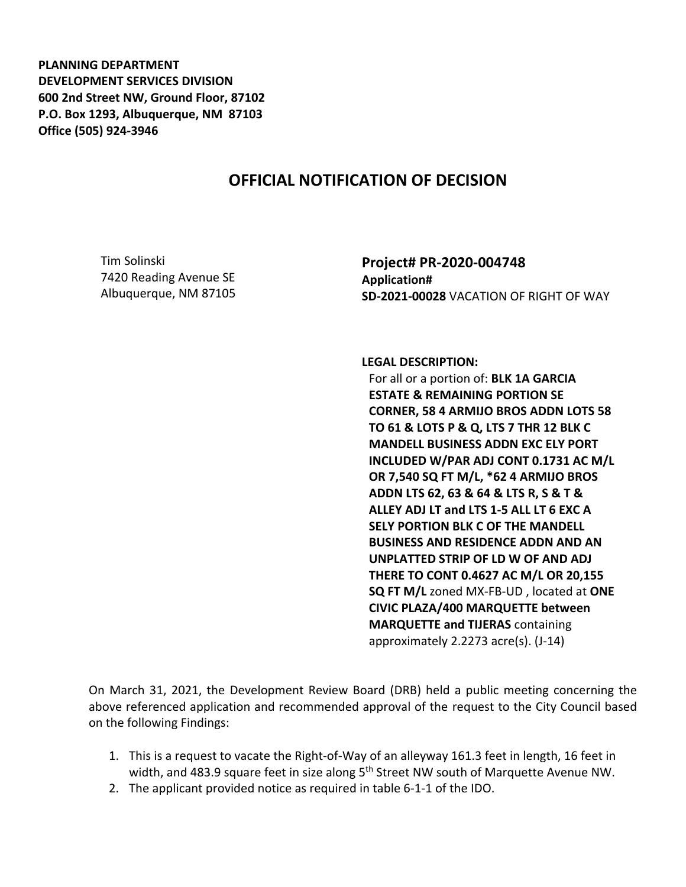**PLANNING DEPARTMENT DEVELOPMENT SERVICES DIVISION 600 2nd Street NW, Ground Floor, 87102 P.O. Box 1293, Albuquerque, NM 87103 Office (505) 924-3946** 

## **OFFICIAL NOTIFICATION OF DECISION**

Tim Solinski 7420 Reading Avenue SE Albuquerque, NM 87105 **Project# PR-2020-004748 Application# SD-2021-00028** VACATION OF RIGHT OF WAY

## **LEGAL DESCRIPTION:**

For all or a portion of: **BLK 1A GARCIA ESTATE & REMAINING PORTION SE CORNER, 58 4 ARMIJO BROS ADDN LOTS 58 TO 61 & LOTS P & Q, LTS 7 THR 12 BLK C MANDELL BUSINESS ADDN EXC ELY PORT INCLUDED W/PAR ADJ CONT 0.1731 AC M/L OR 7,540 SQ FT M/L, \*62 4 ARMIJO BROS ADDN LTS 62, 63 & 64 & LTS R, S & T & ALLEY ADJ LT and LTS 1-5 ALL LT 6 EXC A SELY PORTION BLK C OF THE MANDELL BUSINESS AND RESIDENCE ADDN AND AN UNPLATTED STRIP OF LD W OF AND ADJ THERE TO CONT 0.4627 AC M/L OR 20,155 SQ FT M/L** zoned MX-FB-UD , located at **ONE CIVIC PLAZA/400 MARQUETTE between MARQUETTE and TIJERAS** containing approximately 2.2273 acre(s). (J-14)

On March 31, 2021, the Development Review Board (DRB) held a public meeting concerning the above referenced application and recommended approval of the request to the City Council based on the following Findings:

- 1. This is a request to vacate the Right-of-Way of an alleyway 161.3 feet in length, 16 feet in width, and 483.9 square feet in size along 5<sup>th</sup> Street NW south of Marquette Avenue NW.
- 2. The applicant provided notice as required in table 6-1-1 of the IDO.